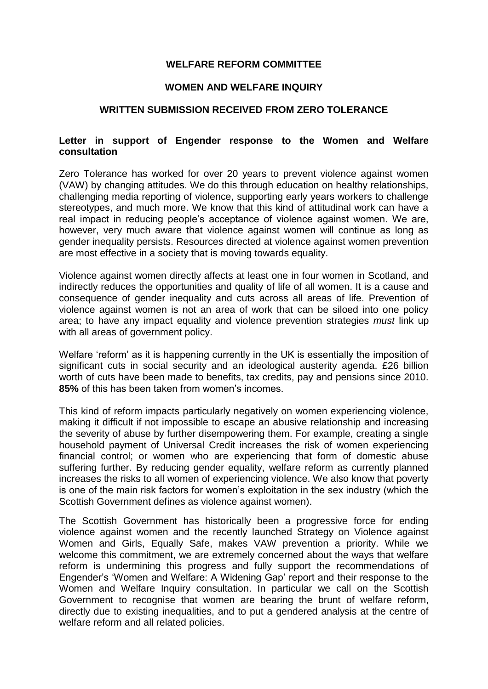## **WELFARE REFORM COMMITTEE**

## **WOMEN AND WELFARE INQUIRY**

## **WRITTEN SUBMISSION RECEIVED FROM ZERO TOLERANCE**

## **Letter in support of Engender response to the Women and Welfare consultation**

Zero Tolerance has worked for over 20 years to prevent violence against women (VAW) by changing attitudes. We do this through education on healthy relationships, challenging media reporting of violence, supporting early years workers to challenge stereotypes, and much more. We know that this kind of attitudinal work can have a real impact in reducing people's acceptance of violence against women. We are, however, very much aware that violence against women will continue as long as gender inequality persists. Resources directed at violence against women prevention are most effective in a society that is moving towards equality.

Violence against women directly affects at least one in four women in Scotland, and indirectly reduces the opportunities and quality of life of all women. It is a cause and consequence of gender inequality and cuts across all areas of life. Prevention of violence against women is not an area of work that can be siloed into one policy area; to have any impact equality and violence prevention strategies *must* link up with all areas of government policy.

Welfare 'reform' as it is happening currently in the UK is essentially the imposition of significant cuts in social security and an ideological austerity agenda. £26 billion worth of cuts have been made to benefits, tax credits, pay and pensions since 2010. **85%** of this has been taken from women's incomes.

This kind of reform impacts particularly negatively on women experiencing violence, making it difficult if not impossible to escape an abusive relationship and increasing the severity of abuse by further disempowering them. For example, creating a single household payment of Universal Credit increases the risk of women experiencing financial control; or women who are experiencing that form of domestic abuse suffering further. By reducing gender equality, welfare reform as currently planned increases the risks to all women of experiencing violence. We also know that poverty is one of the main risk factors for women's exploitation in the sex industry (which the Scottish Government defines as violence against women).

The Scottish Government has historically been a progressive force for ending violence against women and the recently launched Strategy on Violence against Women and Girls, Equally Safe, makes VAW prevention a priority. While we welcome this commitment, we are extremely concerned about the ways that welfare reform is undermining this progress and fully support the recommendations of Engender's 'Women and Welfare: A Widening Gap' report and their response to the Women and Welfare Inquiry consultation. In particular we call on the Scottish Government to recognise that women are bearing the brunt of welfare reform, directly due to existing inequalities, and to put a gendered analysis at the centre of welfare reform and all related policies.